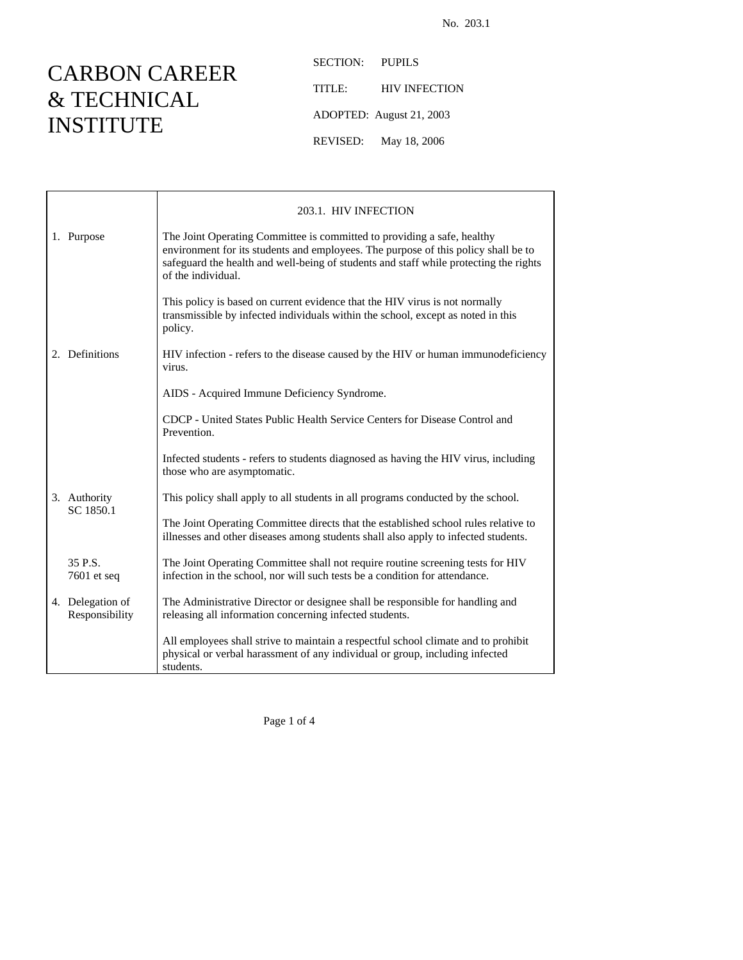## CARBON CAREER & TECHNICAL INSTITUTE

SECTION: PUPILS TITLE: HIV INFECTION ADOPTED: August 21, 2003 REVISED: May 18, 2006

|  |                                    | 203.1. HIV INFECTION                                                                                                                                                                                                                                                         |  |
|--|------------------------------------|------------------------------------------------------------------------------------------------------------------------------------------------------------------------------------------------------------------------------------------------------------------------------|--|
|  | 1. Purpose                         | The Joint Operating Committee is committed to providing a safe, healthy<br>environment for its students and employees. The purpose of this policy shall be to<br>safeguard the health and well-being of students and staff while protecting the rights<br>of the individual. |  |
|  |                                    | This policy is based on current evidence that the HIV virus is not normally<br>transmissible by infected individuals within the school, except as noted in this<br>policy.                                                                                                   |  |
|  | 2. Definitions                     | HIV infection - refers to the disease caused by the HIV or human immunodeficiency<br>virus.                                                                                                                                                                                  |  |
|  |                                    | AIDS - Acquired Immune Deficiency Syndrome.                                                                                                                                                                                                                                  |  |
|  |                                    | CDCP - United States Public Health Service Centers for Disease Control and<br>Prevention.                                                                                                                                                                                    |  |
|  | 3. Authority<br>SC 1850.1          | Infected students - refers to students diagnosed as having the HIV virus, including<br>those who are asymptomatic.                                                                                                                                                           |  |
|  |                                    | This policy shall apply to all students in all programs conducted by the school.                                                                                                                                                                                             |  |
|  |                                    | The Joint Operating Committee directs that the established school rules relative to<br>illnesses and other diseases among students shall also apply to infected students.                                                                                                    |  |
|  | 35 P.S.<br>$7601$ et seq           | The Joint Operating Committee shall not require routine screening tests for HIV<br>infection in the school, nor will such tests be a condition for attendance.                                                                                                               |  |
|  | 4. Delegation of<br>Responsibility | The Administrative Director or designee shall be responsible for handling and<br>releasing all information concerning infected students.                                                                                                                                     |  |
|  |                                    | All employees shall strive to maintain a respectful school climate and to prohibit<br>physical or verbal harassment of any individual or group, including infected<br>students.                                                                                              |  |

Page 1 of 4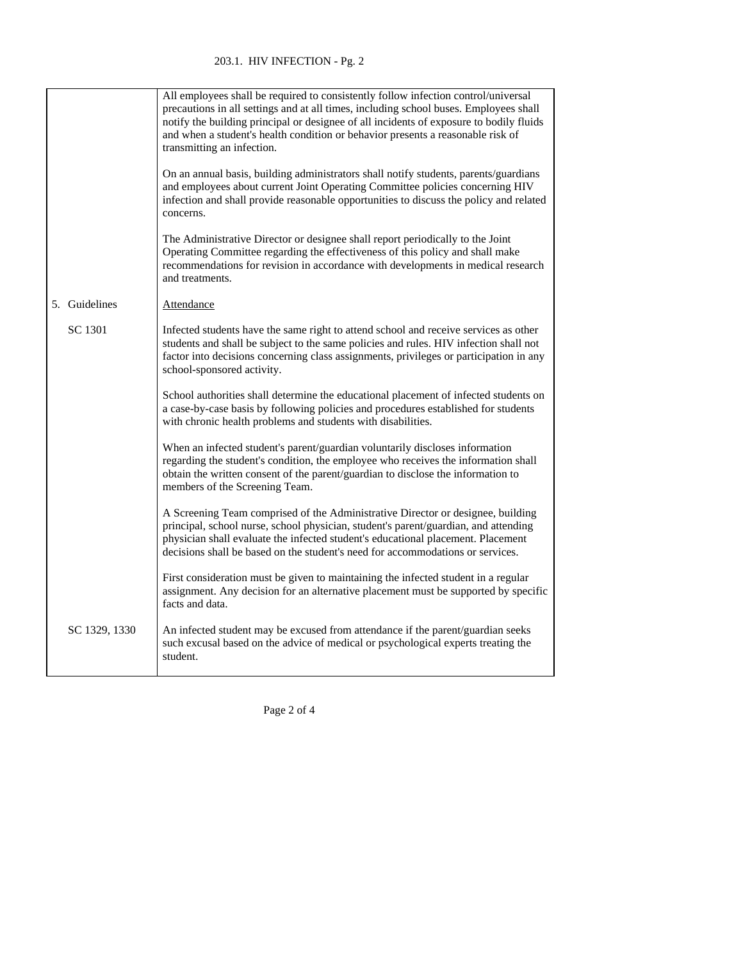203.1. HIV INFECTION - Pg. 2

|               | All employees shall be required to consistently follow infection control/universal<br>precautions in all settings and at all times, including school buses. Employees shall<br>notify the building principal or designee of all incidents of exposure to bodily fluids<br>and when a student's health condition or behavior presents a reasonable risk of<br>transmitting an infection. |
|---------------|-----------------------------------------------------------------------------------------------------------------------------------------------------------------------------------------------------------------------------------------------------------------------------------------------------------------------------------------------------------------------------------------|
|               | On an annual basis, building administrators shall notify students, parents/guardians<br>and employees about current Joint Operating Committee policies concerning HIV<br>infection and shall provide reasonable opportunities to discuss the policy and related<br>concerns.                                                                                                            |
|               | The Administrative Director or designee shall report periodically to the Joint<br>Operating Committee regarding the effectiveness of this policy and shall make<br>recommendations for revision in accordance with developments in medical research<br>and treatments.                                                                                                                  |
| 5. Guidelines | Attendance                                                                                                                                                                                                                                                                                                                                                                              |
| SC 1301       | Infected students have the same right to attend school and receive services as other<br>students and shall be subject to the same policies and rules. HIV infection shall not<br>factor into decisions concerning class assignments, privileges or participation in any<br>school-sponsored activity.                                                                                   |
|               | School authorities shall determine the educational placement of infected students on<br>a case-by-case basis by following policies and procedures established for students<br>with chronic health problems and students with disabilities.                                                                                                                                              |
|               | When an infected student's parent/guardian voluntarily discloses information<br>regarding the student's condition, the employee who receives the information shall<br>obtain the written consent of the parent/guardian to disclose the information to<br>members of the Screening Team.                                                                                                |
|               | A Screening Team comprised of the Administrative Director or designee, building<br>principal, school nurse, school physician, student's parent/guardian, and attending<br>physician shall evaluate the infected student's educational placement. Placement<br>decisions shall be based on the student's need for accommodations or services.                                            |
|               | First consideration must be given to maintaining the infected student in a regular<br>assignment. Any decision for an alternative placement must be supported by specific<br>facts and data.                                                                                                                                                                                            |
| SC 1329, 1330 | An infected student may be excused from attendance if the parent/guardian seeks<br>such excusal based on the advice of medical or psychological experts treating the<br>student.                                                                                                                                                                                                        |

Page 2 of 4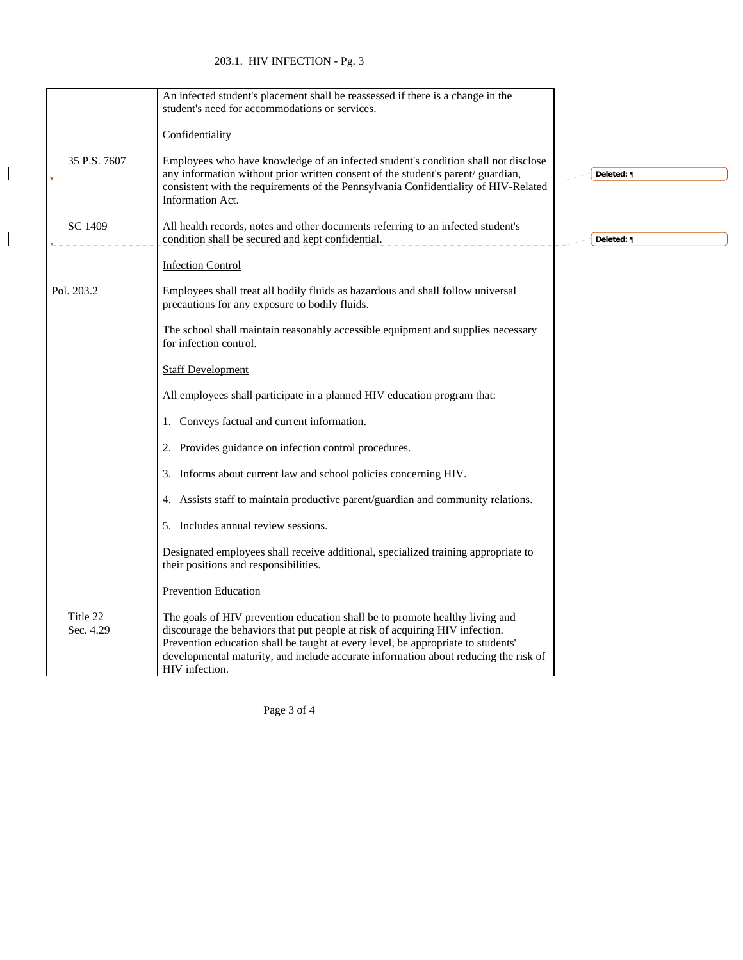## 203.1. HIV INFECTION - Pg. 3

 $\begin{array}{c} \hline \end{array}$ 

 $\overline{\mathbf{I}}$ 

|                       | An infected student's placement shall be reassessed if there is a change in the<br>student's need for accommodations or services.                                                                                                                                                                                                                         |            |
|-----------------------|-----------------------------------------------------------------------------------------------------------------------------------------------------------------------------------------------------------------------------------------------------------------------------------------------------------------------------------------------------------|------------|
|                       | Confidentiality                                                                                                                                                                                                                                                                                                                                           |            |
| 35 P.S. 7607          | Employees who have knowledge of an infected student's condition shall not disclose<br>any information without prior written consent of the student's parent/guardian,<br>consistent with the requirements of the Pennsylvania Confidentiality of HIV-Related<br><b>Information Act.</b>                                                                   | Deleted: ¶ |
| SC 1409               | All health records, notes and other documents referring to an infected student's<br>condition shall be secured and kept confidential.                                                                                                                                                                                                                     | Deleted: ¶ |
|                       | <b>Infection Control</b>                                                                                                                                                                                                                                                                                                                                  |            |
| Pol. 203.2            | Employees shall treat all bodily fluids as hazardous and shall follow universal<br>precautions for any exposure to bodily fluids.                                                                                                                                                                                                                         |            |
|                       | The school shall maintain reasonably accessible equipment and supplies necessary<br>for infection control.                                                                                                                                                                                                                                                |            |
|                       | <b>Staff Development</b>                                                                                                                                                                                                                                                                                                                                  |            |
|                       | All employees shall participate in a planned HIV education program that:                                                                                                                                                                                                                                                                                  |            |
|                       | 1. Conveys factual and current information.                                                                                                                                                                                                                                                                                                               |            |
|                       | 2. Provides guidance on infection control procedures.                                                                                                                                                                                                                                                                                                     |            |
|                       | 3. Informs about current law and school policies concerning HIV.                                                                                                                                                                                                                                                                                          |            |
|                       | 4. Assists staff to maintain productive parent/guardian and community relations.                                                                                                                                                                                                                                                                          |            |
|                       | 5. Includes annual review sessions.                                                                                                                                                                                                                                                                                                                       |            |
|                       | Designated employees shall receive additional, specialized training appropriate to<br>their positions and responsibilities.                                                                                                                                                                                                                               |            |
|                       | <b>Prevention Education</b>                                                                                                                                                                                                                                                                                                                               |            |
| Title 22<br>Sec. 4.29 | The goals of HIV prevention education shall be to promote healthy living and<br>discourage the behaviors that put people at risk of acquiring HIV infection.<br>Prevention education shall be taught at every level, be appropriate to students'<br>developmental maturity, and include accurate information about reducing the risk of<br>HIV infection. |            |

Page 3 of 4